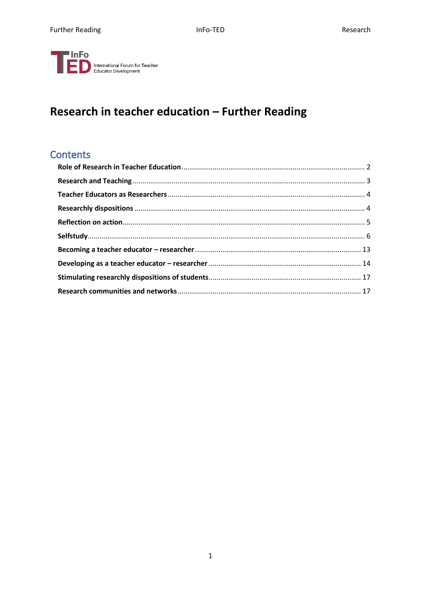

# Research in teacher education - Further Reading

# Contents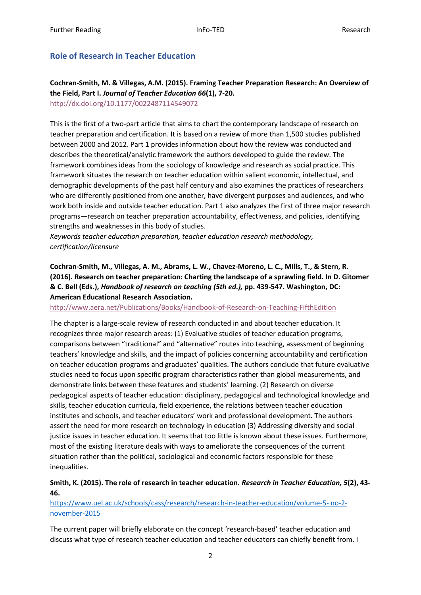## <span id="page-1-0"></span>**Role of Research in Teacher Education**

#### **Cochran-Smith, M. & Villegas, A.M. (2015). Framing Teacher Preparation Research: An Overview of the Field, Part I.** *Journal of Teacher Education 66***(1), 7-20.** <http://dx.doi.org/10.1177/0022487114549072>

This is the first of a two-part article that aims to chart the contemporary landscape of research on teacher preparation and certification. It is based on a review of more than 1,500 studies published between 2000 and 2012. Part 1 provides information about how the review was conducted and describes the theoretical/analytic framework the authors developed to guide the review. The framework combines ideas from the sociology of knowledge and research as social practice. This framework situates the research on teacher education within salient economic, intellectual, and demographic developments of the past half century and also examines the practices of researchers who are differently positioned from one another, have divergent purposes and audiences, and who work both inside and outside teacher education. Part 1 also analyzes the first of three major research programs—research on teacher preparation accountability, effectiveness, and policies, identifying strengths and weaknesses in this body of studies.

*Keywords teacher education preparation, teacher education research methodology, certification/licensure*

**Cochran-Smith, M., Villegas, A. M., Abrams, L. W., Chavez-Moreno, L. C., Mills, T., & Stern, R. (2016). Research on teacher preparation: Charting the landscape of a sprawling field. In D. Gitomer & C. Bell (Eds.),** *Handbook of research on teaching (5th ed.),* **pp. 439-547. Washington, DC: American Educational Research Association.** 

<http://www.aera.net/Publications/Books/Handbook-of-Research-on-Teaching-FifthEdition>

The chapter is a large-scale review of research conducted in and about teacher education. It recognizes three major research areas: (1) Evaluative studies of teacher education programs, comparisons between "traditional" and "alternative" routes into teaching, assessment of beginning teachers' knowledge and skills, and the impact of policies concerning accountability and certification on teacher education programs and graduates' qualities. The authors conclude that future evaluative studies need to focus upon specific program characteristics rather than global measurements, and demonstrate links between these features and students' learning. (2) Research on diverse pedagogical aspects of teacher education: disciplinary, pedagogical and technological knowledge and skills, teacher education curricula, field experience, the relations between teacher education institutes and schools, and teacher educators' work and professional development. The authors assert the need for more research on technology in education (3) Addressing diversity and social justice issues in teacher education. It seems that too little is known about these issues. Furthermore, most of the existing literature deals with ways to ameliorate the consequences of the current situation rather than the political, sociological and economic factors responsible for these inequalities.

#### **Smith, K. (2015). The role of research in teacher education.** *Research in Teacher Education, 5***(2), 43- 46.**

## [https://www.uel.ac.uk/schools/cass/research/research-in-teacher-education/volume-5-](https://www.uel.ac.uk/schools/cass/research/research-in-teacher-education/volume-5-%20no-2-november-2015) no-2 [november-2015](https://www.uel.ac.uk/schools/cass/research/research-in-teacher-education/volume-5-%20no-2-november-2015)

The current paper will briefly elaborate on the concept 'research-based' teacher education and discuss what type of research teacher education and teacher educators can chiefly benefit from. I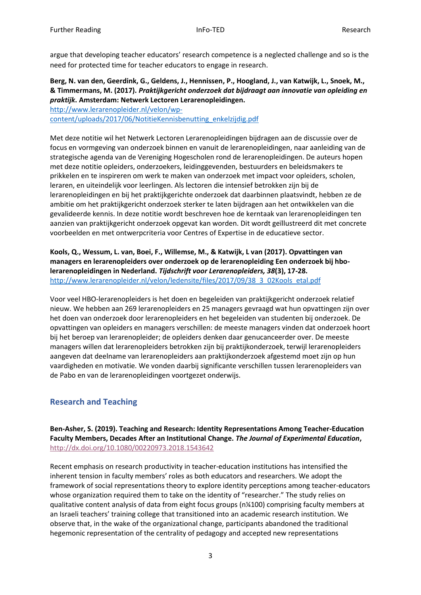argue that developing teacher educators' research competence is a neglected challenge and so is the need for protected time for teacher educators to engage in research.

**Berg, N. van den, Geerdink, G., Geldens, J., Hennissen, P., Hoogland, J., van Katwijk, L., Snoek, M., & Timmermans, M. (2017).** *Praktijkgericht onderzoek dat bijdraagt aan innovatie van opleiding en praktijk***. Amsterdam: Netwerk Lectoren Lerarenopleidingen.**

[http://www.lerarenopleider.nl/velon/wp](http://www.lerarenopleider.nl/velon/wp-content/uploads/2017/06/NotitieKennisbenutting_enkelzijdig.pdf)[content/uploads/2017/06/NotitieKennisbenutting\\_enkelzijdig.pdf](http://www.lerarenopleider.nl/velon/wp-content/uploads/2017/06/NotitieKennisbenutting_enkelzijdig.pdf)

Met deze notitie wil het Netwerk Lectoren Lerarenopleidingen bijdragen aan de discussie over de focus en vormgeving van onderzoek binnen en vanuit de lerarenopleidingen, naar aanleiding van de strategische agenda van de Vereniging Hogescholen rond de lerarenopleidingen. De auteurs hopen met deze notitie opleiders, onderzoekers, leidinggevenden, bestuurders en beleidsmakers te prikkelen en te inspireren om werk te maken van onderzoek met impact voor opleiders, scholen, leraren, en uiteindelijk voor leerlingen. Als lectoren die intensief betrokken zijn bij de lerarenopleidingen en bij het praktijkgerichte onderzoek dat daarbinnen plaatsvindt, hebben ze de ambitie om het praktijkgericht onderzoek sterker te laten bijdragen aan het ontwikkelen van die gevalideerde kennis. In deze notitie wordt beschreven hoe de kerntaak van lerarenopleidingen ten aanzien van praktijkgericht onderzoek opgevat kan worden. Dit wordt geïllustreerd dit met concrete voorbeelden en met ontwerpcriteria voor Centres of Expertise in de educatieve sector.

**Kools, Q., Wessum, L. van, Boei, F., Willemse, M., & Katwijk, L van (2017). Opvattingen van managers en lerarenopleiders over onderzoek op de lerarenopleiding Een onderzoek bij hbolerarenopleidingen in Nederland.** *Tijdschrift voor Lerarenopleiders, 38***(3), 17-28.** [http://www.lerarenopleider.nl/velon/ledensite/files/2017/09/38\\_3\\_02Kools\\_etal.pdf](http://www.lerarenopleider.nl/velon/ledensite/files/2017/09/38_3_02Kools_etal.pdf)

Voor veel HBO-lerarenopleiders is het doen en begeleiden van praktijkgericht onderzoek relatief nieuw. We hebben aan 269 lerarenopleiders en 25 managers gevraagd wat hun opvattingen zijn over het doen van onderzoek door lerarenopleiders en het begeleiden van studenten bij onderzoek. De opvattingen van opleiders en managers verschillen: de meeste managers vinden dat onderzoek hoort bij het beroep van lerarenopleider; de opleiders denken daar genucanceerder over. De meeste managers willen dat lerarenopleiders betrokken zijn bij praktijkonderzoek, terwijl lerarenopleiders aangeven dat deelname van lerarenopleiders aan praktijkonderzoek afgestemd moet zijn op hun vaardigheden en motivatie. We vonden daarbij significante verschillen tussen lerarenopleiders van de Pabo en van de lerarenopleidingen voortgezet onderwijs.

## <span id="page-2-0"></span>**Research and Teaching**

**Ben-Asher, S. (2019). Teaching and Research: Identity Representations Among Teacher-Education Faculty Members, Decades After an Institutional Change.** *The Journal of Experimental Education***,**  <http://dx.doi.org/10.1080/00220973.2018.1543642>

Recent emphasis on research productivity in teacher-education institutions has intensified the inherent tension in faculty members' roles as both educators and researchers. We adopt the framework of social representations theory to explore identity perceptions among teacher-educators whose organization required them to take on the identity of "researcher." The study relies on qualitative content analysis of data from eight focus groups (n¼100) comprising faculty members at an Israeli teachers' training college that transitioned into an academic research institution. We observe that, in the wake of the organizational change, participants abandoned the traditional hegemonic representation of the centrality of pedagogy and accepted new representations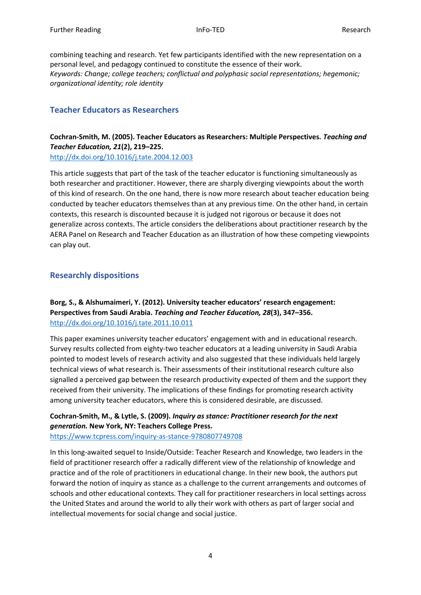combining teaching and research. Yet few participants identified with the new representation on a personal level, and pedagogy continued to constitute the essence of their work. *Keywords: Change; college teachers; conflictual and polyphasic social representations; hegemonic; organizational identity; role identity*

## <span id="page-3-0"></span>**Teacher Educators as Researchers**

## **Cochran-Smith, M. (2005). Teacher Educators as Researchers: Multiple Perspectives.** *Teaching and Teacher Education, 21***(2), 219–225.**

<http://dx.doi.org/10.1016/j.tate.2004.12.003>

This article suggests that part of the task of the teacher educator is functioning simultaneously as both researcher and practitioner. However, there are sharply diverging viewpoints about the worth of this kind of research. On the one hand, there is now more research about teacher education being conducted by teacher educators themselves than at any previous time. On the other hand, in certain contexts, this research is discounted because it is judged not rigorous or because it does not generalize across contexts. The article considers the deliberations about practitioner research by the AERA Panel on Research and Teacher Education as an illustration of how these competing viewpoints can play out.

## <span id="page-3-1"></span>**Researchly dispositions**

## **Borg, S., & Alshumaimeri, Y. (2012). University teacher educators' research engagement: Perspectives from Saudi Arabia.** *Teaching and Teacher Education, 28***(3), 347–356.**  <http://dx.doi.org/10.1016/j.tate.2011.10.011>

This paper examines university teacher educators' engagement with and in educational research. Survey results collected from eighty-two teacher educators at a leading university in Saudi Arabia pointed to modest levels of research activity and also suggested that these individuals held largely technical views of what research is. Their assessments of their institutional research culture also signalled a perceived gap between the research productivity expected of them and the support they received from their university. The implications of these findings for promoting research activity among university teacher educators, where this is considered desirable, are discussed.

#### **Cochran-Smith, M., & Lytle, S. (2009).** *Inquiry as stance: Practitioner research for the next generation.* **New York, NY: Teachers College Press.**

#### <https://www.tcpress.com/inquiry-as-stance-9780807749708>

In this long-awaited sequel to Inside/Outside: Teacher Research and Knowledge, two leaders in the field of practitioner research offer a radically different view of the relationship of knowledge and practice and of the role of practitioners in educational change. In their new book, the authors put forward the notion of inquiry as stance as a challenge to the current arrangements and outcomes of schools and other educational contexts. They call for practitioner researchers in local settings across the United States and around the world to ally their work with others as part of larger social and intellectual movements for social change and social justice.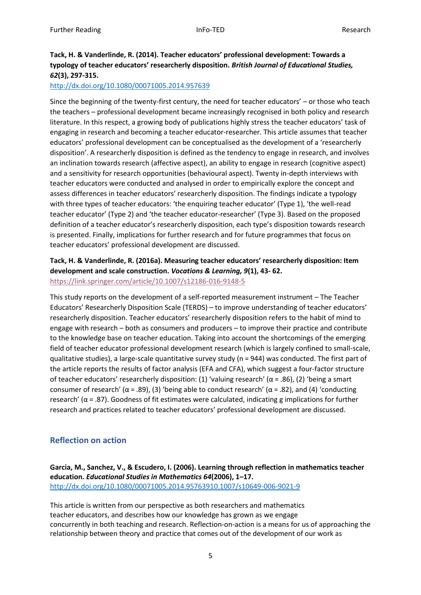## **Tack, H. & Vanderlinde, R. (2014). Teacher educators' professional development: Towards a typology of teacher educators' researcherly disposition.** *British Journal of Educational Studies, 62***(3), 297-315.**

<http://dx.doi.org/10.1080/00071005.2014.957639>

Since the beginning of the twenty-first century, the need for teacher educators' – or those who teach the teachers – professional development became increasingly recognised in both policy and research literature. In this respect, a growing body of publications highly stress the teacher educators' task of engaging in research and becoming a teacher educator-researcher. This article assumes that teacher educators' professional development can be conceptualised as the development of a 'researcherly disposition'. A researcherly disposition is defined as the tendency to engage in research, and involves an inclination towards research (affective aspect), an ability to engage in research (cognitive aspect) and a sensitivity for research opportunities (behavioural aspect). Twenty in-depth interviews with teacher educators were conducted and analysed in order to empirically explore the concept and assess differences in teacher educators' researcherly disposition. The findings indicate a typology with three types of teacher educators: 'the enquiring teacher educator' (Type 1), 'the well-read teacher educator' (Type 2) and 'the teacher educator-researcher' (Type 3). Based on the proposed definition of a teacher educator's researcherly disposition, each type's disposition towards research is presented. Finally, implications for further research and for future programmes that focus on teacher educators' professional development are discussed.

**Tack, H. & Vanderlinde, R. (2016a). Measuring teacher educators' researcherly disposition: Item development and scale construction.** *Vocations & Learning, 9***(1), 43- 62.**  <https://link.springer.com/article/10.1007/s12186-016-9148-5>

This study reports on the development of a self-reported measurement instrument – The Teacher Educators' Researcherly Disposition Scale (TERDS) – to improve understanding of teacher educators' researcherly disposition. Teacher educators' researcherly disposition refers to the habit of mind to engage with research – both as consumers and producers – to improve their practice and contribute to the knowledge base on teacher education. Taking into account the shortcomings of the emerging field of teacher educator professional development research (which is largely confined to small-scale, qualitative studies), a large-scale quantitative survey study (n = 944) was conducted. The first part of the article reports the results of factor analysis (EFA and CFA), which suggest a four-factor structure of teacher educators' researcherly disposition: (1) 'valuing research' (α = .86), (2) 'being a smart consumer of research' (α = .89), (3) 'being able to conduct research' (α = .82), and (4) 'conducting research' (α = .87). Goodness of fit estimates were calculated, indicating g implications for further research and practices related to teacher educators' professional development are discussed.

## <span id="page-4-0"></span>**Reflection on action**

**Garcia, M., Sanchez, V., & Escudero, I. (2006). Learning through reflection in mathematics teacher education.** *Educational Studies in Mathematics 64***(2006), 1–17.** <http://dx.doi.org/10.1080/00071005.2014.95763910.1007/s10649-006-9021-9>

This article is written from our perspective as both researchers and mathematics teacher educators, and describes how our knowledge has grown as we engage concurrently in both teaching and research. Reflection-on-action is a means for us of approaching the relationship between theory and practice that comes out of the development of our work as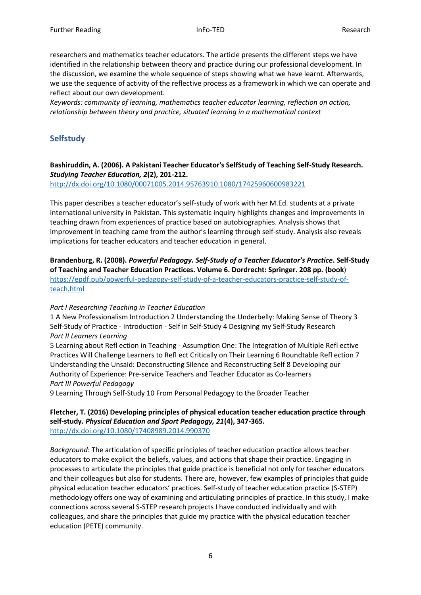researchers and mathematics teacher educators. The article presents the different steps we have identified in the relationship between theory and practice during our professional development. In the discussion, we examine the whole sequence of steps showing what we have learnt. Afterwards, we use the sequence of activity of the reflective process as a framework in which we can operate and reflect about our own development.

*Keywords: community of learning, mathematics teacher educator learning, reflection on action, relationship between theory and practice, situated learning in a mathematical context*

## <span id="page-5-0"></span>**Selfstudy**

**Bashiruddin, A. (2006). A Pakistani Teacher Educator's SelfStudy of Teaching Self-Study Research.**  *Studying Teacher Education, 2***(2), 201-212.** 

<http://dx.doi.org/10.1080/00071005.2014.95763910.1080/17425960600983221>

This paper describes a teacher educator's self-study of work with her M.Ed. students at a private international university in Pakistan. This systematic inquiry highlights changes and improvements in teaching drawn from experiences of practice based on autobiographies. Analysis shows that improvement in teaching came from the author's learning through self-study. Analysis also reveals implications for teacher educators and teacher education in general.

**Brandenburg, R. (2008).** *Powerful Pedagogy. Self-Study of a Teacher Educator's Practice***. Self-Study of Teaching and Teacher Education Practices. Volume 6. Dordrecht: Springer. 208 pp. (book**) [https://epdf.pub/powerful-pedagogy-self-study-of-a-teacher-educators-practice-self-study-of](https://epdf.pub/powerful-pedagogy-self-study-of-a-teacher-educators-practice-self-study-of-teach.html)[teach.html](https://epdf.pub/powerful-pedagogy-self-study-of-a-teacher-educators-practice-self-study-of-teach.html)

#### *Part I Researching Teaching in Teacher Education*

1 A New Professionalism Introduction 2 Understanding the Underbelly: Making Sense of Theory 3 Self-Study of Practice - Introduction - Self in Self-Study 4 Designing my Self-Study Research *Part II Learners Learning*

5 Learning about Refl ection in Teaching - Assumption One: The Integration of Multiple Refl ective Practices Will Challenge Learners to Refl ect Critically on Their Learning 6 Roundtable Refl ection 7 Understanding the Unsaid: Deconstructing Silence and Reconstructing Self 8 Developing our Authority of Experience: Pre-service Teachers and Teacher Educator as Co-learners *Part III Powerful Pedagogy* 

9 Learning Through Self-Study 10 From Personal Pedagogy to the Broader Teacher

**Fletcher, T. (2016) Developing principles of physical education teacher education practice through self-study.** *Physical Education and Sport Pedagogy, 21***(4), 347-365.**  <http://dx.doi.org/10.1080/17408989.2014.990370>

*Background*: The articulation of specific principles of teacher education practice allows teacher educators to make explicit the beliefs, values, and actions that shape their practice. Engaging in processes to articulate the principles that guide practice is beneficial not only for teacher educators and their colleagues but also for students. There are, however, few examples of principles that guide physical education teacher educators' practices. Self-study of teacher education practice (S-STEP) methodology offers one way of examining and articulating principles of practice. In this study, I make connections across several S-STEP research projects I have conducted individually and with colleagues, and share the principles that guide my practice with the physical education teacher education (PETE) community.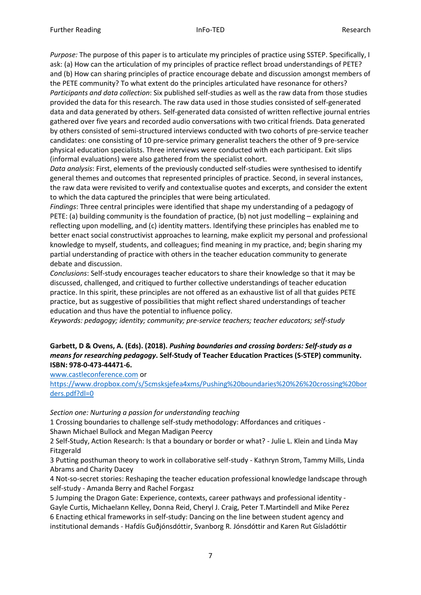*Purpose:* The purpose of this paper is to articulate my principles of practice using SSTEP. Specifically, I ask: (a) How can the articulation of my principles of practice reflect broad understandings of PETE? and (b) How can sharing principles of practice encourage debate and discussion amongst members of the PETE community? To what extent do the principles articulated have resonance for others? *Participants and data collection*: Six published self-studies as well as the raw data from those studies provided the data for this research. The raw data used in those studies consisted of self-generated data and data generated by others. Self-generated data consisted of written reflective journal entries gathered over five years and recorded audio conversations with two critical friends. Data generated by others consisted of semi-structured interviews conducted with two cohorts of pre-service teacher candidates: one consisting of 10 pre-service primary generalist teachers the other of 9 pre-service physical education specialists. Three interviews were conducted with each participant. Exit slips (informal evaluations) were also gathered from the specialist cohort.

*Data analysis*: First, elements of the previously conducted self-studies were synthesised to identify general themes and outcomes that represented principles of practice. Second, in several instances, the raw data were revisited to verify and contextualise quotes and excerpts, and consider the extent to which the data captured the principles that were being articulated.

*Findings*: Three central principles were identified that shape my understanding of a pedagogy of PETE: (a) building community is the foundation of practice, (b) not just modelling – explaining and reflecting upon modelling, and (c) identity matters. Identifying these principles has enabled me to better enact social constructivist approaches to learning, make explicit my personal and professional knowledge to myself, students, and colleagues; find meaning in my practice, and; begin sharing my partial understanding of practice with others in the teacher education community to generate debate and discussion.

*Conclusions*: Self-study encourages teacher educators to share their knowledge so that it may be discussed, challenged, and critiqued to further collective understandings of teacher education practice. In this spirit, these principles are not offered as an exhaustive list of all that guides PETE practice, but as suggestive of possibilities that might reflect shared understandings of teacher education and thus have the potential to influence policy.

*Keywords: pedagogy; identity; community; pre-service teachers; teacher educators; self-study*

#### **Garbett, D & Ovens, A. (Eds). (2018).** *Pushing boundaries and crossing borders: Self-study as a means for researching pedagogy***. Self-Study of Teacher Education Practices (S-STEP) community. ISBN: 978-0-473-44471-6.**

[www.castleconference.com](http://www.castleconference.com/) or

[https://www.dropbox.com/s/5cmsksjefea4xms/Pushing%20boundaries%20%26%20crossing%20bor](https://www.dropbox.com/s/5cmsksjefea4xms/Pushing%20boundaries%20%26%20crossing%20borders.pdf?dl=0) [ders.pdf?dl=0](https://www.dropbox.com/s/5cmsksjefea4xms/Pushing%20boundaries%20%26%20crossing%20borders.pdf?dl=0)

*Section one: Nurturing a passion for understanding teaching*

1 Crossing boundaries to challenge self-study methodology: Affordances and critiques - Shawn Michael Bullock and Megan Madigan Peercy

2 Self-Study, Action Research: Is that a boundary or border or what? - Julie L. Klein and Linda May Fitzgerald

3 Putting posthuman theory to work in collaborative self-study - Kathryn Strom, Tammy Mills, Linda Abrams and Charity Dacey

4 Not-so-secret stories: Reshaping the teacher education professional knowledge landscape through self-study - Amanda Berry and Rachel Forgasz

5 Jumping the Dragon Gate: Experience, contexts, career pathways and professional identity - Gayle Curtis, Michaelann Kelley, Donna Reid, Cheryl J. Craig, Peter T.Martindell and Mike Perez 6 Enacting ethical frameworks in self-study: Dancing on the line between student agency and institutional demands - Hafdís Guðjónsdóttir, Svanborg R. Jónsdóttir and Karen Rut Gísladóttir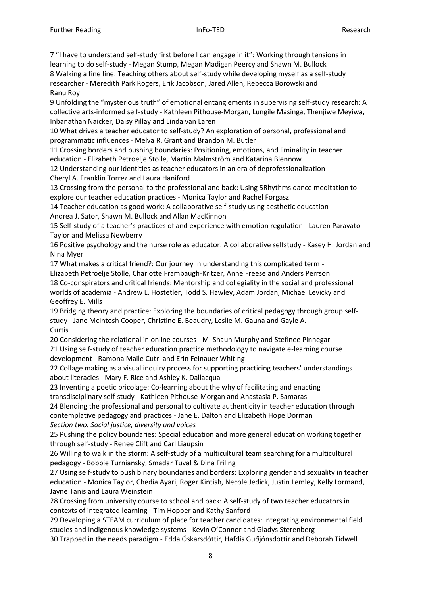7 "I have to understand self-study first before I can engage in it": Working through tensions in learning to do self-study - Megan Stump, Megan Madigan Peercy and Shawn M. Bullock 8 Walking a fine line: Teaching others about self-study while developing myself as a self-study researcher - Meredith Park Rogers, Erik Jacobson, Jared Allen, Rebecca Borowski and Ranu Roy

9 Unfolding the "mysterious truth" of emotional entanglements in supervising self-study research: A collective arts-informed self-study - Kathleen Pithouse-Morgan, Lungile Masinga, Thenjiwe Meyiwa, Inbanathan Naicker, Daisy Pillay and Linda van Laren

10 What drives a teacher educator to self-study? An exploration of personal, professional and programmatic influences - Melva R. Grant and Brandon M. Butler

11 Crossing borders and pushing boundaries: Positioning, emotions, and liminality in teacher education - Elizabeth Petroelje Stolle, Martin Malmström and Katarina Blennow

12 Understanding our identities as teacher educators in an era of deprofessionalization - Cheryl A. Franklin Torrez and Laura Haniford

13 Crossing from the personal to the professional and back: Using 5Rhythms dance meditation to explore our teacher education practices - Monica Taylor and Rachel Forgasz

14 Teacher education as good work: A collaborative self-study using aesthetic education - Andrea J. Sator, Shawn M. Bullock and Allan MacKinnon

15 Self-study of a teacher's practices of and experience with emotion regulation - Lauren Paravato Taylor and Melissa Newberry

16 Positive psychology and the nurse role as educator: A collaborative selfstudy - Kasey H. Jordan and Nina Myer

17 What makes a critical friend?: Our journey in understanding this complicated term - Elizabeth Petroelje Stolle, Charlotte Frambaugh-Kritzer, Anne Freese and Anders Perrson 18 Co-conspirators and critical friends: Mentorship and collegiality in the social and professional worlds of academia - Andrew L. Hostetler, Todd S. Hawley, Adam Jordan, Michael Levicky and Geoffrey E. Mills

19 Bridging theory and practice: Exploring the boundaries of critical pedagogy through group selfstudy - Jane McIntosh Cooper, Christine E. Beaudry, Leslie M. Gauna and Gayle A. Curtis

20 Considering the relational in online courses - M. Shaun Murphy and Stefinee Pinnegar 21 Using self-study of teacher education practice methodology to navigate e-learning course development - Ramona Maile Cutri and Erin Feinauer Whiting

22 Collage making as a visual inquiry process for supporting practicing teachers' understandings about literacies - Mary F. Rice and Ashley K. Dallacqua

23 Inventing a poetic bricolage: Co-learning about the why of facilitating and enacting transdisciplinary self-study - Kathleen Pithouse-Morgan and Anastasia P. Samaras

24 Blending the professional and personal to cultivate authenticity in teacher education through contemplative pedagogy and practices - Jane E. Dalton and Elizabeth Hope Dorman *Section two: Social justice, diversity and voices*

25 Pushing the policy boundaries: Special education and more general education working together through self-study - Renee Clift and Carl Liaupsin

26 Willing to walk in the storm: A self-study of a multicultural team searching for a multicultural pedagogy - Bobbie Turniansky, Smadar Tuval & Dina Friling

27 Using self-study to push binary boundaries and borders: Exploring gender and sexuality in teacher education - Monica Taylor, Chedia Ayari, Roger Kintish, Necole Jedick, Justin Lemley, Kelly Lormand, Jayne Tanis and Laura Weinstein

28 Crossing from university course to school and back: A self-study of two teacher educators in contexts of integrated learning - Tim Hopper and Kathy Sanford

29 Developing a STEAM curriculum of place for teacher candidates: Integrating environmental field studies and Indigenous knowledge systems - Kevin O'Connor and Gladys Sterenberg

30 Trapped in the needs paradigm - Edda Óskarsdóttir, Hafdís Guðjónsdóttir and Deborah Tidwell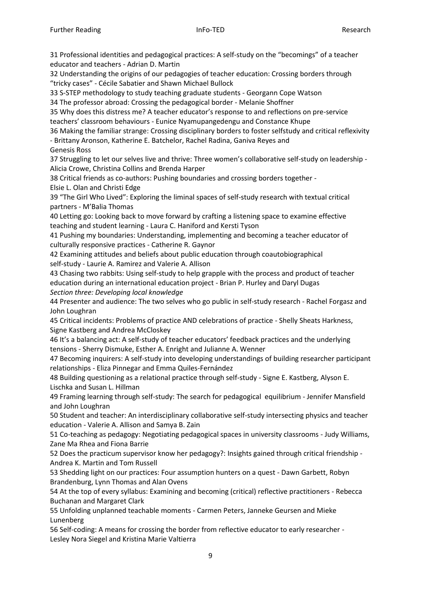31 Professional identities and pedagogical practices: A self-study on the "becomings" of a teacher educator and teachers - Adrian D. Martin

32 Understanding the origins of our pedagogies of teacher education: Crossing borders through "tricky cases" - Cécile Sabatier and Shawn Michael Bullock

33 S-STEP methodology to study teaching graduate students - Georgann Cope Watson

34 The professor abroad: Crossing the pedagogical border - Melanie Shoffner

35 Why does this distress me? A teacher educator's response to and reflections on pre-service teachers' classroom behaviours - Eunice Nyamupangedengu and Constance Khupe

36 Making the familiar strange: Crossing disciplinary borders to foster selfstudy and critical reflexivity - Brittany Aronson, Katherine E. Batchelor, Rachel Radina, Ganiva Reyes and Genesis Ross

37 Struggling to let our selves live and thrive: Three women's collaborative self-study on leadership - Alicia Crowe, Christina Collins and Brenda Harper

38 Critical friends as co-authors: Pushing boundaries and crossing borders together - Elsie L. Olan and Christi Edge

39 "The Girl Who Lived": Exploring the liminal spaces of self-study research with textual critical partners - M'Balia Thomas

40 Letting go: Looking back to move forward by crafting a listening space to examine effective teaching and student learning - Laura C. Haniford and Kersti Tyson

41 Pushing my boundaries: Understanding, implementing and becoming a teacher educator of culturally responsive practices - Catherine R. Gaynor

42 Examining attitudes and beliefs about public education through coautobiographical self-study - Laurie A. Ramirez and Valerie A. Allison

43 Chasing two rabbits: Using self-study to help grapple with the process and product of teacher education during an international education project - Brian P. Hurley and Daryl Dugas *Section three: Developing local knowledge*

44 Presenter and audience: The two selves who go public in self-study research - Rachel Forgasz and John Loughran

45 Critical incidents: Problems of practice AND celebrations of practice - Shelly Sheats Harkness, Signe Kastberg and Andrea McCloskey

46 It's a balancing act: A self-study of teacher educators' feedback practices and the underlying tensions - Sherry Dismuke, Esther A. Enright and Julianne A. Wenner

47 Becoming inquirers: A self-study into developing understandings of building researcher participant relationships - Eliza Pinnegar and Emma Quiles-Fernández

48 Building questioning as a relational practice through self-study - Signe E. Kastberg, Alyson E. Lischka and Susan L. Hillman

49 Framing learning through self-study: The search for pedagogical equilibrium - Jennifer Mansfield and John Loughran

50 Student and teacher: An interdisciplinary collaborative self-study intersecting physics and teacher education - Valerie A. Allison and Samya B. Zain

51 Co-teaching as pedagogy: Negotiating pedagogical spaces in university classrooms - Judy Williams, Zane Ma Rhea and Fiona Barrie

52 Does the practicum supervisor know her pedagogy?: Insights gained through critical friendship - Andrea K. Martin and Tom Russell

53 Shedding light on our practices: Four assumption hunters on a quest - Dawn Garbett, Robyn Brandenburg, Lynn Thomas and Alan Ovens

54 At the top of every syllabus: Examining and becoming (critical) reflective practitioners - Rebecca Buchanan and Margaret Clark

55 Unfolding unplanned teachable moments - Carmen Peters, Janneke Geursen and Mieke Lunenberg

56 Self-coding: A means for crossing the border from reflective educator to early researcher - Lesley Nora Siegel and Kristina Marie Valtierra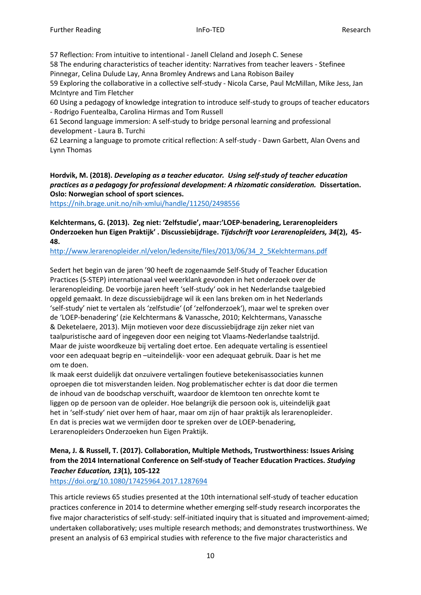57 Reflection: From intuitive to intentional - Janell Cleland and Joseph C. Senese

58 The enduring characteristics of teacher identity: Narratives from teacher leavers - Stefinee Pinnegar, Celina Dulude Lay, Anna Bromley Andrews and Lana Robison Bailey

59 Exploring the collaborative in a collective self-study - Nicola Carse, Paul McMillan, Mike Jess, Jan McIntyre and Tim Fletcher

60 Using a pedagogy of knowledge integration to introduce self-study to groups of teacher educators - Rodrigo Fuentealba, Carolina Hirmas and Tom Russell

61 Second language immersion: A self-study to bridge personal learning and professional development - Laura B. Turchi

62 Learning a language to promote critical reflection: A self-study - Dawn Garbett, Alan Ovens and Lynn Thomas

**Hordvik, M. (2018).** *Developing as a teacher educator. Using self-study of teacher education practices as a pedagogy for professional development: A rhizomatic consideration.* **Dissertation. Oslo: Norwegian school of sport sciences.**

<https://nih.brage.unit.no/nih-xmlui/handle/11250/2498556>

**Kelchtermans, G. (2013). Zeg niet: 'Zelfstudie', maar:'LOEP-benadering, Lerarenopleiders Onderzoeken hun Eigen Praktijk' . Discussiebijdrage.** *Tijdschrift voor Lerarenopleiders, 34***(2), 45- 48.**

[http://www.lerarenopleider.nl/velon/ledensite/files/2013/06/34\\_2\\_5Kelchtermans.pdf](http://www.lerarenopleider.nl/velon/ledensite/files/2013/06/34_2_5Kelchtermans.pdf)

Sedert het begin van de jaren '90 heeft de zogenaamde Self-Study of Teacher Education Practices (S-STEP) internationaal veel weerklank gevonden in het onderzoek over de lerarenopleiding. De voorbije jaren heeft 'self-study' ook in het Nederlandse taalgebied opgeld gemaakt. In deze discussiebijdrage wil ik een lans breken om in het Nederlands 'self-study' niet te vertalen als 'zelfstudie' (of 'zelfonderzoek'), maar wel te spreken over de 'LOEP-benadering' (zie Kelchtermans & Vanassche, 2010; Kelchtermans, Vanassche & Deketelaere, 2013). Mijn motieven voor deze discussiebijdrage zijn zeker niet van taalpuristische aard of ingegeven door een neiging tot Vlaams-Nederlandse taalstrijd. Maar de juiste woordkeuze bij vertaling doet ertoe. Een adequate vertaling is essentieel voor een adequaat begrip en –uiteindelijk- voor een adequaat gebruik. Daar is het me om te doen.

Ik maak eerst duidelijk dat onzuivere vertalingen foutieve betekenisassociaties kunnen oproepen die tot misverstanden leiden. Nog problematischer echter is dat door die termen de inhoud van de boodschap verschuift, waardoor de klemtoon ten onrechte komt te liggen op de persoon van de opleider. Hoe belangrijk die persoon ook is, uiteindelijk gaat het in 'self-study' niet over hem of haar, maar om zijn of haar praktijk als lerarenopleider. En dat is precies wat we vermijden door te spreken over de LOEP-benadering, Lerarenopleiders Onderzoeken hun Eigen Praktijk.

## **Mena, J. & Russell, T. (2017). Collaboration, Multiple Methods, Trustworthiness: Issues Arising from the 2014 International Conference on Self-study of Teacher Education Practices.** *Studying Teacher Education, 13***(1), 105-122**

<https://doi.org/10.1080/17425964.2017.1287694>

This article reviews 65 studies presented at the 10th international self-study of teacher education practices conference in 2014 to determine whether emerging self-study research incorporates the five major characteristics of self-study: self-initiated inquiry that is situated and improvement-aimed; undertaken collaboratively; uses multiple research methods; and demonstrates trustworthiness. We present an analysis of 63 empirical studies with reference to the five major characteristics and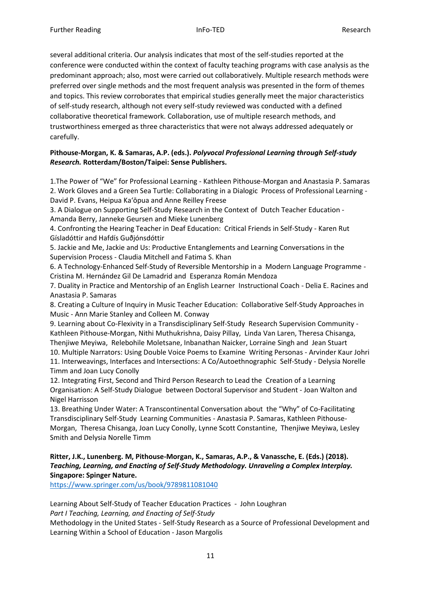several additional criteria. Our analysis indicates that most of the self-studies reported at the conference were conducted within the context of faculty teaching programs with case analysis as the predominant approach; also, most were carried out collaboratively. Multiple research methods were preferred over single methods and the most frequent analysis was presented in the form of themes and topics. This review corroborates that empirical studies generally meet the major characteristics of self-study research, although not every self-study reviewed was conducted with a defined collaborative theoretical framework. Collaboration, use of multiple research methods, and trustworthiness emerged as three characteristics that were not always addressed adequately or carefully.

#### **Pithouse-Morgan, K. & Samaras, A.P. (eds.).** *Polyvocal Professional Learning through Self-study Research.* **Rotterdam/Boston/Taipei: Sense Publishers.**

1.The Power of "We" for Professional Learning - Kathleen Pithouse-Morgan and Anastasia P. Samaras 2. Work Gloves and a Green Sea Turtle: Collaborating in a Dialogic Process of Professional Learning - David P. Evans, Heipua Ka'ōpua and Anne Reilley Freese

3. A Dialogue on Supporting Self-Study Research in the Context of Dutch Teacher Education - Amanda Berry, Janneke Geursen and Mieke Lunenberg

4. Confronting the Hearing Teacher in Deaf Education: Critical Friends in Self-Study - Karen Rut Gísladóttir and Hafdís Guðjónsdóttir

5. Jackie and Me, Jackie and Us: Productive Entanglements and Learning Conversations in the Supervision Process - Claudia Mitchell and Fatima S. Khan

6. A Technology-Enhanced Self-Study of Reversible Mentorship in a Modern Language Programme - Cristina M. Hernández Gil De Lamadrid and Esperanza Román Mendoza

7. Duality in Practice and Mentorship of an English Learner Instructional Coach - Delia E. Racines and Anastasia P. Samaras

8. Creating a Culture of Inquiry in Music Teacher Education: Collaborative Self-Study Approaches in Music - Ann Marie Stanley and Colleen M. Conway

9. Learning about Co-Flexivity in a Transdisciplinary Self-Study Research Supervision Community - Kathleen Pithouse-Morgan, Nithi Muthukrishna, Daisy Pillay, Linda Van Laren, Theresa Chisanga, Thenjiwe Meyiwa, Relebohile Moletsane, Inbanathan Naicker, Lorraine Singh and Jean Stuart

10. Multiple Narrators: Using Double Voice Poems to Examine Writing Personas - Arvinder Kaur Johri 11. Interweavings, Interfaces and Intersections: A Co/Autoethnographic Self-Study - Delysia Norelle Timm and Joan Lucy Conolly

12. Integrating First, Second and Third Person Research to Lead the Creation of a Learning Organisation: A Self-Study Dialogue between Doctoral Supervisor and Student - Joan Walton and Nigel Harrisson

13. Breathing Under Water: A Transcontinental Conversation about the "Why" of Co-Facilitating Transdisciplinary Self-Study Learning Communities - Anastasia P. Samaras, Kathleen Pithouse-Morgan, Theresa Chisanga, Joan Lucy Conolly, Lynne Scott Constantine, Thenjiwe Meyiwa, Lesley Smith and Delysia Norelle Timm

#### **Ritter, J.K., Lunenberg. M, Pithouse-Morgan, K., Samaras, A.P., & Vanassche, E. (Eds.) (2018).**  *Teaching, Learning, and Enacting of Self-Study Methodology. Unraveling a Complex Interplay.*  **Singapore: Spinger Nature.**

<https://www.springer.com/us/book/9789811081040>

Learning About Self-Study of Teacher Education Practices - John Loughran *Part I Teaching, Learning, and Enacting of Self-Study*

Methodology in the United States - Self-Study Research as a Source of Professional Development and Learning Within a School of Education - Jason Margolis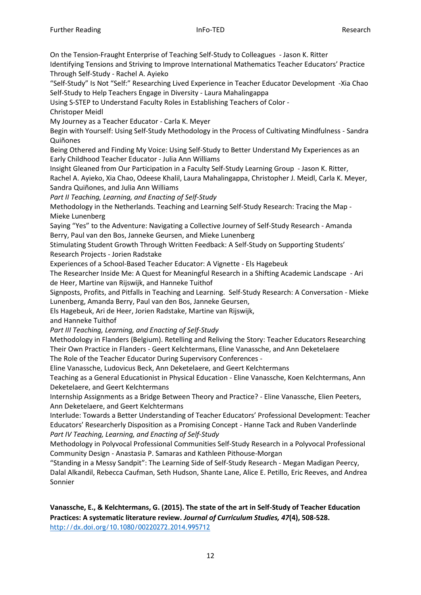On the Tension-Fraught Enterprise of Teaching Self-Study to Colleagues - Jason K. Ritter Identifying Tensions and Striving to Improve International Mathematics Teacher Educators' Practice Through Self-Study - Rachel A. Ayieko

"Self-Study" Is Not "Self:" Researching Lived Experience in Teacher Educator Development -Xia Chao Self-Study to Help Teachers Engage in Diversity - Laura Mahalingappa

Using S-STEP to Understand Faculty Roles in Establishing Teachers of Color -

Christoper Meidl

My Journey as a Teacher Educator - Carla K. Meyer

Begin with Yourself: Using Self-Study Methodology in the Process of Cultivating Mindfulness - Sandra Quiñones

Being Othered and Finding My Voice: Using Self-Study to Better Understand My Experiences as an Early Childhood Teacher Educator - Julia Ann Williams

Insight Gleaned from Our Participation in a Faculty Self-Study Learning Group - Jason K. Ritter, Rachel A. Ayieko, Xia Chao, Odeese Khalil, Laura Mahalingappa, Christopher J. Meidl, Carla K. Meyer, Sandra Quiñones, and Julia Ann Williams

*Part II Teaching, Learning, and Enacting of Self-Study*

Methodology in the Netherlands. Teaching and Learning Self-Study Research: Tracing the Map - Mieke Lunenberg

Saying "Yes" to the Adventure: Navigating a Collective Journey of Self-Study Research - Amanda Berry, Paul van den Bos, Janneke Geursen, and Mieke Lunenberg

Stimulating Student Growth Through Written Feedback: A Self-Study on Supporting Students' Research Projects - Jorien Radstake

Experiences of a School-Based Teacher Educator: A Vignette - Els Hagebeuk

The Researcher Inside Me: A Quest for Meaningful Research in a Shifting Academic Landscape - Ari de Heer, Martine van Rijswijk, and Hanneke Tuithof

Signposts, Profits, and Pitfalls in Teaching and Learning. Self-Study Research: A Conversation - Mieke Lunenberg, Amanda Berry, Paul van den Bos, Janneke Geursen,

Els Hagebeuk, Ari de Heer, Jorien Radstake, Martine van Rijswijk,

and Hanneke Tuithof

*Part III Teaching, Learning, and Enacting of Self-Study*

Methodology in Flanders (Belgium). Retelling and Reliving the Story: Teacher Educators Researching Their Own Practice in Flanders - Geert Kelchtermans, Eline Vanassche, and Ann Deketelaere The Role of the Teacher Educator During Supervisory Conferences -

Eline Vanassche, Ludovicus Beck, Ann Deketelaere, and Geert Kelchtermans

Teaching as a General Educationist in Physical Education - Eline Vanassche, Koen Kelchtermans, Ann Deketelaere, and Geert Kelchtermans

Internship Assignments as a Bridge Between Theory and Practice? - Eline Vanassche, Elien Peeters, Ann Deketelaere, and Geert Kelchtermans

Interlude: Towards a Better Understanding of Teacher Educators' Professional Development: Teacher Educators' Researcherly Disposition as a Promising Concept - Hanne Tack and Ruben Vanderlinde *Part IV Teaching, Learning, and Enacting of Self-Study*

Methodology in Polyvocal Professional Communities Self-Study Research in a Polyvocal Professional Community Design - Anastasia P. Samaras and Kathleen Pithouse-Morgan

"Standing in a Messy Sandpit": The Learning Side of Self-Study Research - Megan Madigan Peercy, Dalal Alkandil, Rebecca Caufman, Seth Hudson, Shante Lane, Alice E. Petillo, Eric Reeves, and Andrea Sonnier

**Vanassche, E., & Kelchtermans, G. (2015). The state of the art in Self-Study of Teacher Education Practices: A systematic literature review.** *Journal of Curriculum Studies, 47***(4), 508-528.**  <http://dx.doi.org/10.1080/00220272.2014.995712>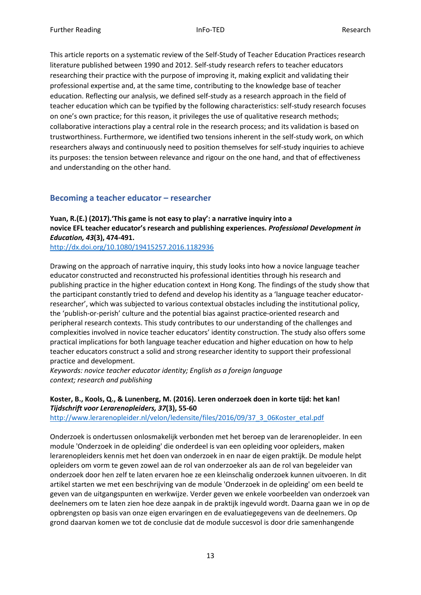This article reports on a systematic review of the Self-Study of Teacher Education Practices research literature published between 1990 and 2012. Self-study research refers to teacher educators researching their practice with the purpose of improving it, making explicit and validating their professional expertise and, at the same time, contributing to the knowledge base of teacher education. Reflecting our analysis, we defined self-study as a research approach in the field of teacher education which can be typified by the following characteristics: self-study research focuses on one's own practice; for this reason, it privileges the use of qualitative research methods; collaborative interactions play a central role in the research process; and its validation is based on trustworthiness. Furthermore, we identified two tensions inherent in the self-study work, on which researchers always and continuously need to position themselves for self-study inquiries to achieve its purposes: the tension between relevance and rigour on the one hand, and that of effectiveness and understanding on the other hand.

#### <span id="page-12-0"></span>**Becoming a teacher educator – researcher**

**Yuan, R.(E.) (2017).'This game is not easy to play': a narrative inquiry into a novice EFL teacher educator's research and publishing experiences***. Professional Development in Education, 43***(3), 474-491.** 

<http://dx.doi.org/10.1080/19415257.2016.1182936>

Drawing on the approach of narrative inquiry, this study looks into how a novice language teacher educator constructed and reconstructed his professional identities through his research and publishing practice in the higher education context in Hong Kong. The findings of the study show that the participant constantly tried to defend and develop his identity as a 'language teacher educatorresearcher', which was subjected to various contextual obstacles including the institutional policy, the 'publish-or-perish' culture and the potential bias against practice-oriented research and peripheral research contexts. This study contributes to our understanding of the challenges and complexities involved in novice teacher educators' identity construction. The study also offers some practical implications for both language teacher education and higher education on how to help teacher educators construct a solid and strong researcher identity to support their professional practice and development.

*Keywords: novice teacher educator identity; English as a foreign language context; research and publishing*

## **Koster, B., Kools, Q., & Lunenberg, M. (2016). Leren onderzoek doen in korte tijd: het kan!**  *Tijdschrift voor Lerarenopleiders, 37***(3), 55-60**

[http://www.lerarenopleider.nl/velon/ledensite/files/2016/09/37\\_3\\_06Koster\\_etal.pdf](http://www.lerarenopleider.nl/velon/ledensite/files/2016/09/37_3_06Koster_etal.pdf)

Onderzoek is ondertussen onlosmakelijk verbonden met het beroep van de lerarenopleider. In een module 'Onderzoek in de opleiding' die onderdeel is van een opleiding voor opleiders, maken lerarenopleiders kennis met het doen van onderzoek in en naar de eigen praktijk. De module helpt opleiders om vorm te geven zowel aan de rol van onderzoeker als aan de rol van begeleider van onderzoek door hen zelf te laten ervaren hoe ze een kleinschalig onderzoek kunnen uitvoeren. In dit artikel starten we met een beschrijving van de module 'Onderzoek in de opleiding' om een beeld te geven van de uitgangspunten en werkwijze. Verder geven we enkele voorbeelden van onderzoek van deelnemers om te laten zien hoe deze aanpak in de praktijk ingevuld wordt. Daarna gaan we in op de opbrengsten op basis van onze eigen ervaringen en de evaluatiegegevens van de deelnemers. Op grond daarvan komen we tot de conclusie dat de module succesvol is door drie samenhangende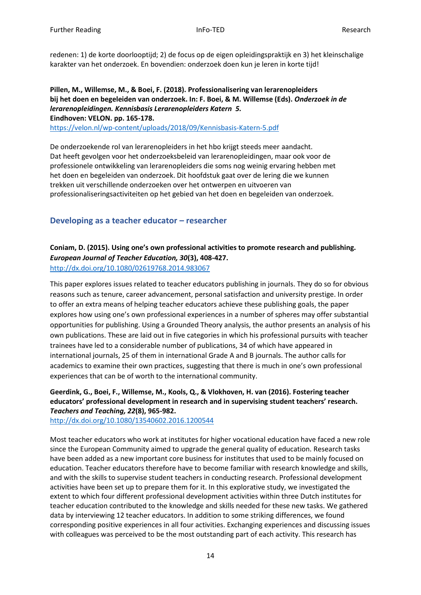redenen: 1) de korte doorlooptijd; 2) de focus op de eigen opleidingspraktijk en 3) het kleinschalige karakter van het onderzoek. En bovendien: onderzoek doen kun je leren in korte tijd!

**Pillen, M., Willemse, M., & Boei, F. (2018). Professionalisering van lerarenopleiders bij het doen en begeleiden van onderzoek. In: F. Boei, & M. Willemse (Eds).** *Onderzoek in de lerarenopleidingen. Kennisbasis Lerarenopleiders Katern 5.* **Eindhoven: VELON. pp. 165-178.**

<https://velon.nl/wp-content/uploads/2018/09/Kennisbasis-Katern-5.pdf>

De onderzoekende rol van lerarenopleiders in het hbo krijgt steeds meer aandacht. Dat heeft gevolgen voor het onderzoeksbeleid van lerarenopleidingen, maar ook voor de professionele ontwikkeling van lerarenopleiders die soms nog weinig ervaring hebben met het doen en begeleiden van onderzoek. Dit hoofdstuk gaat over de lering die we kunnen trekken uit verschillende onderzoeken over het ontwerpen en uitvoeren van professionaliseringsactiviteiten op het gebied van het doen en begeleiden van onderzoek.

# <span id="page-13-0"></span>**Developing as a teacher educator – researcher**

**Coniam, D. (2015). Using one's own professional activities to promote research and publishing.**  *European Journal of Teacher Education, 30***(3), 408-427.**  <http://dx.doi.org/10.1080/02619768.2014.983067>

This paper explores issues related to teacher educators publishing in journals. They do so for obvious reasons such as tenure, career advancement, personal satisfaction and university prestige. In order to offer an extra means of helping teacher educators achieve these publishing goals, the paper explores how using one's own professional experiences in a number of spheres may offer substantial opportunities for publishing. Using a Grounded Theory analysis, the author presents an analysis of his own publications. These are laid out in five categories in which his professional pursuits with teacher trainees have led to a considerable number of publications, 34 of which have appeared in international journals, 25 of them in international Grade A and B journals. The author calls for academics to examine their own practices, suggesting that there is much in one's own professional experiences that can be of worth to the international community.

## **Geerdink, G., Boei, F., Willemse, M., Kools, Q., & Vlokhoven, H. van (2016). Fostering teacher educators' professional development in research and in supervising student teachers' research.**  *Teachers and Teaching, 22***(8), 965-982.**

<http://dx.doi.org/10.1080/13540602.2016.1200544>

Most teacher educators who work at institutes for higher vocational education have faced a new role since the European Community aimed to upgrade the general quality of education. Research tasks have been added as a new important core business for institutes that used to be mainly focused on education. Teacher educators therefore have to become familiar with research knowledge and skills, and with the skills to supervise student teachers in conducting research. Professional development activities have been set up to prepare them for it. In this explorative study, we investigated the extent to which four different professional development activities within three Dutch institutes for teacher education contributed to the knowledge and skills needed for these new tasks. We gathered data by interviewing 12 teacher educators. In addition to some striking differences, we found corresponding positive experiences in all four activities. Exchanging experiences and discussing issues with colleagues was perceived to be the most outstanding part of each activity. This research has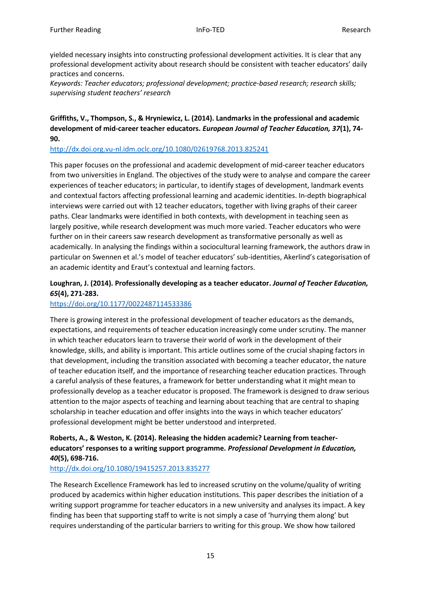yielded necessary insights into constructing professional development activities. It is clear that any professional development activity about research should be consistent with teacher educators' daily practices and concerns.

*Keywords: Teacher educators; professional development; practice-based research; research skills; supervising student teachers' research*

## **Griffiths, V., Thompson, S., & Hryniewicz, L. (2014). Landmarks in the professional and academic development of mid-career teacher educators.** *European Journal of Teacher Education, 37***(1), 74- 90.**

#### <http://dx.doi.org.vu-nl.idm.oclc.org/10.1080/02619768.2013.825241>

This paper focuses on the professional and academic development of mid-career teacher educators from two universities in England. The objectives of the study were to analyse and compare the career experiences of teacher educators; in particular, to identify stages of development, landmark events and contextual factors affecting professional learning and academic identities. In-depth biographical interviews were carried out with 12 teacher educators, together with living graphs of their career paths. Clear landmarks were identified in both contexts, with development in teaching seen as largely positive, while research development was much more varied. Teacher educators who were further on in their careers saw research development as transformative personally as well as academically. In analysing the findings within a sociocultural learning framework, the authors draw in particular on Swennen et al.'s model of teacher educators' sub-identities, Akerlind's categorisation of an academic identity and Eraut's contextual and learning factors.

## **Loughran, J. (2014). Professionally developing as a teacher educator.** *Journal of Teacher Education, 65***(4), 271-283.**

## <https://doi.org/10.1177/0022487114533386>

There is growing interest in the professional development of teacher educators as the demands, expectations, and requirements of teacher education increasingly come under scrutiny. The manner in which teacher educators learn to traverse their world of work in the development of their knowledge, skills, and ability is important. This article outlines some of the crucial shaping factors in that development, including the transition associated with becoming a teacher educator, the nature of teacher education itself, and the importance of researching teacher education practices. Through a careful analysis of these features, a framework for better understanding what it might mean to professionally develop as a teacher educator is proposed. The framework is designed to draw serious attention to the major aspects of teaching and learning about teaching that are central to shaping scholarship in teacher education and offer insights into the ways in which teacher educators' professional development might be better understood and interpreted.

## **Roberts, A., & Weston, K. (2014). Releasing the hidden academic? Learning from teachereducators' responses to a writing support programme.** *Professional Development in Education, 40***(5), 698-716.**

## <http://dx.doi.org/10.1080/19415257.2013.835277>

The Research Excellence Framework has led to increased scrutiny on the volume/quality of writing produced by academics within higher education institutions. This paper describes the initiation of a writing support programme for teacher educators in a new university and analyses its impact. A key finding has been that supporting staff to write is not simply a case of 'hurrying them along' but requires understanding of the particular barriers to writing for this group. We show how tailored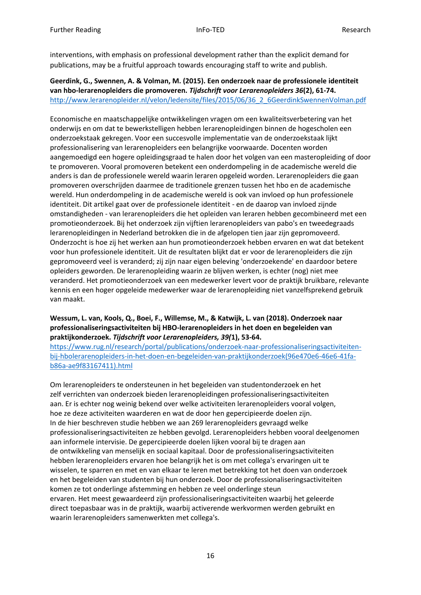interventions, with emphasis on professional development rather than the explicit demand for publications, may be a fruitful approach towards encouraging staff to write and publish.

## **Geerdink, G., Swennen, A. & Volman, M. (2015). Een onderzoek naar de professionele identiteit van hbo-lerarenopleiders die promoveren.** *Tijdschrift voor Lerarenopleiders 36***(2), 61-74.** [http://www.lerarenopleider.nl/velon/ledensite/files/2015/06/36\\_2\\_6GeerdinkSwennenVolman.pdf](http://www.lerarenopleider.nl/velon/ledensite/files/2015/06/36_2_6GeerdinkSwennenVolman.pdf)

Economische en maatschappelijke ontwikkelingen vragen om een kwaliteitsverbetering van het onderwijs en om dat te bewerkstelligen hebben lerarenopleidingen binnen de hogescholen een onderzoekstaak gekregen. Voor een succesvolle implementatie van de onderzoekstaak lijkt professionalisering van lerarenopleiders een belangrijke voorwaarde. Docenten worden aangemoedigd een hogere opleidingsgraad te halen door het volgen van een masteropleiding of door te promoveren. Vooral promoveren betekent een onderdompeling in de academische wereld die anders is dan de professionele wereld waarin leraren opgeleid worden. Lerarenopleiders die gaan promoveren overschrijden daarmee de traditionele grenzen tussen het hbo en de academische wereld. Hun onderdompeling in de academische wereld is ook van invloed op hun professionele identiteit. Dit artikel gaat over de professionele identiteit - en de daarop van invloed zijnde omstandigheden - van lerarenopleiders die het opleiden van leraren hebben gecombineerd met een promotieonderzoek. Bij het onderzoek zijn vijftien lerarenopleiders van pabo's en tweedegraads lerarenopleidingen in Nederland betrokken die in de afgelopen tien jaar zijn gepromoveerd. Onderzocht is hoe zij het werken aan hun promotieonderzoek hebben ervaren en wat dat betekent voor hun professionele identiteit. Uit de resultaten blijkt dat er voor de lerarenopleiders die zijn gepromoveerd veel is veranderd; zij zijn naar eigen beleving 'onderzoekende' en daardoor betere opleiders geworden. De lerarenopleiding waarin ze blijven werken, is echter (nog) niet mee veranderd. Het promotieonderzoek van een medewerker levert voor de praktijk bruikbare, relevante kennis en een hoger opgeleide medewerker waar de lerarenopleiding niet vanzelfsprekend gebruik van maakt.

#### **Wessum, L. van, Kools, Q., Boei, F., Willemse, M., & Katwijk, L. van (2018). Onderzoek naar professionaliseringsactiviteiten bij HBO-lerarenopleiders in het doen en begeleiden van praktijkonderzoek.** *Tijdschrift voor Lerarenopleiders, 39(***1), 53-64.**

[https://www.rug.nl/research/portal/publications/onderzoek-naar-professionaliseringsactiviteiten](https://www.rug.nl/research/portal/publications/onderzoek-naar-professionaliseringsactiviteiten-bij-hbolerarenopleiders-in-het-doen-en-begeleiden-van-praktijkonderzoek(96e470e6-46e6-41fa-b86a-ae9f83167411).html)[bij-hbolerarenopleiders-in-het-doen-en-begeleiden-van-praktijkonderzoek\(96e470e6-46e6-41fa](https://www.rug.nl/research/portal/publications/onderzoek-naar-professionaliseringsactiviteiten-bij-hbolerarenopleiders-in-het-doen-en-begeleiden-van-praktijkonderzoek(96e470e6-46e6-41fa-b86a-ae9f83167411).html)[b86a-ae9f83167411\).html](https://www.rug.nl/research/portal/publications/onderzoek-naar-professionaliseringsactiviteiten-bij-hbolerarenopleiders-in-het-doen-en-begeleiden-van-praktijkonderzoek(96e470e6-46e6-41fa-b86a-ae9f83167411).html)

Om lerarenopleiders te ondersteunen in het begeleiden van studentonderzoek en het zelf verrichten van onderzoek bieden lerarenopleidingen professionaliseringsactiviteiten aan. Er is echter nog weinig bekend over welke activiteiten lerarenopleiders vooral volgen, hoe ze deze activiteiten waarderen en wat de door hen gepercipieerde doelen zijn. In de hier beschreven studie hebben we aan 269 lerarenopleiders gevraagd welke professionaliseringsactiviteiten ze hebben gevolgd. Lerarenopleiders hebben vooral deelgenomen aan informele intervisie. De gepercipieerde doelen lijken vooral bij te dragen aan de ontwikkeling van menselijk en sociaal kapitaal. Door de professionaliseringsactiviteiten hebben lerarenopleiders ervaren hoe belangrijk het is om met collega's ervaringen uit te wisselen, te sparren en met en van elkaar te leren met betrekking tot het doen van onderzoek en het begeleiden van studenten bij hun onderzoek. Door de professionaliseringsactiviteiten komen ze tot onderlinge afstemming en hebben ze veel onderlinge steun ervaren. Het meest gewaardeerd zijn professionaliseringsactiviteiten waarbij het geleerde direct toepasbaar was in de praktijk, waarbij activerende werkvormen werden gebruikt en waarin lerarenopleiders samenwerkten met collega's.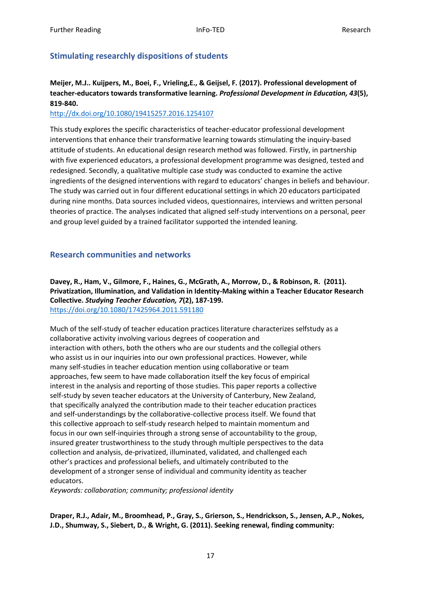## <span id="page-16-0"></span>**Stimulating researchly dispositions of students**

## **Meijer, M.J.. Kuijpers, M., Boei, F., Vrieling,E., & Geijsel, F. (2017). Professional development of teacher-educators towards transformative learning.** *Professional Development in Education, 43***(5), 819-840.**

#### <http://dx.doi.org/10.1080/19415257.2016.1254107>

This study explores the specific characteristics of teacher-educator professional development interventions that enhance their transformative learning towards stimulating the inquiry-based attitude of students. An educational design research method was followed. Firstly, in partnership with five experienced educators, a professional development programme was designed, tested and redesigned. Secondly, a qualitative multiple case study was conducted to examine the active ingredients of the designed interventions with regard to educators' changes in beliefs and behaviour. The study was carried out in four different educational settings in which 20 educators participated during nine months. Data sources included videos, questionnaires, interviews and written personal theories of practice. The analyses indicated that aligned self-study interventions on a personal, peer and group level guided by a trained facilitator supported the intended leaning.

## <span id="page-16-1"></span>**Research communities and networks**

**Davey, R., Ham, V., Gilmore, F., Haines, G., McGrath, A., Morrow, D., & Robinson, R. (2011). Privatization, Illumination, and Validation in Identity-Making within a Teacher Educator Research Collective.** *Studying Teacher Education, 7***(2), 187-199.** <https://doi.org/10.1080/17425964.2011.591180>

Much of the self-study of teacher education practices literature characterizes selfstudy as a collaborative activity involving various degrees of cooperation and interaction with others, both the others who are our students and the collegial others who assist us in our inquiries into our own professional practices. However, while many self-studies in teacher education mention using collaborative or team approaches, few seem to have made collaboration itself the key focus of empirical interest in the analysis and reporting of those studies. This paper reports a collective self-study by seven teacher educators at the University of Canterbury, New Zealand, that specifically analyzed the contribution made to their teacher education practices and self-understandings by the collaborative-collective process itself. We found that this collective approach to self-study research helped to maintain momentum and focus in our own self-inquiries through a strong sense of accountability to the group, insured greater trustworthiness to the study through multiple perspectives to the data collection and analysis, de-privatized, illuminated, validated, and challenged each other's practices and professional beliefs, and ultimately contributed to the development of a stronger sense of individual and community identity as teacher educators.

*Keywords: collaboration; community; professional identity*

**Draper, R.J., Adair, M., Broomhead, P., Gray, S., Grierson, S., Hendrickson, S., Jensen, A.P., Nokes, J.D., Shumway, S., Siebert, D., & Wright, G. (2011). Seeking renewal, finding community:**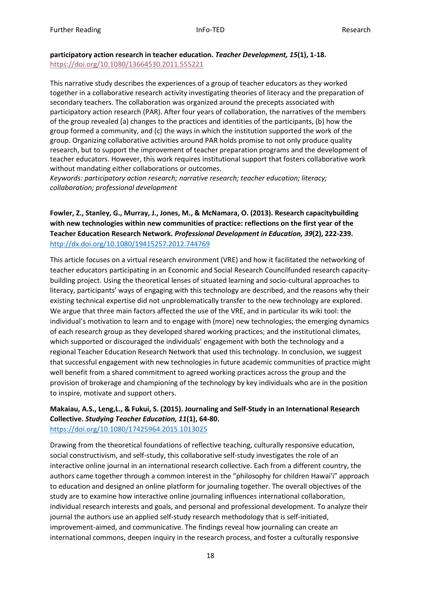#### **participatory action research in teacher education.** *Teacher Development, 15***(1), 1-18.**  <https://doi.org/10.1080/13664530.2011.555221>

This narrative study describes the experiences of a group of teacher educators as they worked together in a collaborative research activity investigating theories of literacy and the preparation of secondary teachers. The collaboration was organized around the precepts associated with participatory action research (PAR). After four years of collaboration, the narratives of the members of the group revealed (a) changes to the practices and identities of the participants, (b) how the group formed a community, and (c) the ways in which the institution supported the work of the group. Organizing collaborative activities around PAR holds promise to not only produce quality research, but to support the improvement of teacher preparation programs and the development of teacher educators. However, this work requires institutional support that fosters collaborative work without mandating either collaborations or outcomes.

*Keywords: participatory action research; narrative research; teacher education; literacy; collaboration; professional development*

**Fowler, Z., Stanley, G., Murray, J., Jones, M., & McNamara, O. (2013). Research capacitybuilding with new technologies within new communities of practice: reflections on the first year of the Teacher Education Research Network.** *Professional Development in Education, 39***(2), 222-239.**  <http://dx.doi.org/10.1080/19415257.2012.744769>

This article focuses on a virtual research environment (VRE) and how it facilitated the networking of teacher educators participating in an Economic and Social Research Councilfunded research capacitybuilding project. Using the theoretical lenses of situated learning and socio-cultural approaches to literacy, participants' ways of engaging with this technology are described, and the reasons why their existing technical expertise did not unproblematically transfer to the new technology are explored. We argue that three main factors affected the use of the VRE, and in particular its wiki tool: the individual's motivation to learn and to engage with (more) new technologies; the emerging dynamics of each research group as they developed shared working practices; and the institutional climates, which supported or discouraged the individuals' engagement with both the technology and a regional Teacher Education Research Network that used this technology. In conclusion, we suggest that successful engagement with new technologies in future academic communities of practice might well benefit from a shared commitment to agreed working practices across the group and the provision of brokerage and championing of the technology by key individuals who are in the position to inspire, motivate and support others.

#### **Makaiau, A.S., Leng,L., & Fukui, S. (2015). Journaling and Self-Study in an International Research Collective.** *Studying Teacher Education, 11***(1), 64-80.**  <https://doi.org/10.1080/17425964.2015.1013025>

Drawing from the theoretical foundations of reflective teaching, culturally responsive education, social constructivism, and self-study, this collaborative self-study investigates the role of an interactive online journal in an international research collective. Each from a different country, the authors came together through a common interest in the "philosophy for children Hawai'i" approach to education and designed an online platform for journaling together. The overall objectives of the study are to examine how interactive online journaling influences international collaboration, individual research interests and goals, and personal and professional development. To analyze their journal the authors use an applied self-study research methodology that is self-initiated, improvement-aimed, and communicative. The findings reveal how journaling can create an international commons, deepen inquiry in the research process, and foster a culturally responsive